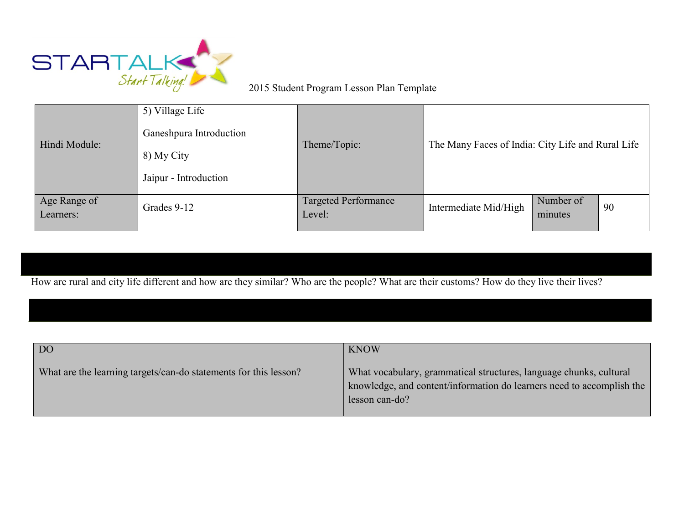

## 2015 Student Program Lesson Plan Template

| Hindi Module:             | 5) Village Life<br>Ganeshpura Introduction<br>8) My City<br>Jaipur - Introduction | Theme/Topic:                          | The Many Faces of India: City Life and Rural Life |                      |    |
|---------------------------|-----------------------------------------------------------------------------------|---------------------------------------|---------------------------------------------------|----------------------|----|
| Age Range of<br>Learners: | Grades 9-12                                                                       | <b>Targeted Performance</b><br>Level: | Intermediate Mid/High                             | Number of<br>minutes | 90 |

How are rural and city life different and how are they similar? Who are the people? What are their customs? How do they live their lives?

| DO                                                               | <b>KNOW</b>                                                                                                                                                   |
|------------------------------------------------------------------|---------------------------------------------------------------------------------------------------------------------------------------------------------------|
| What are the learning targets/can-do statements for this lesson? | What vocabulary, grammatical structures, language chunks, cultural<br>knowledge, and content/information do learners need to accomplish the<br>lesson can-do? |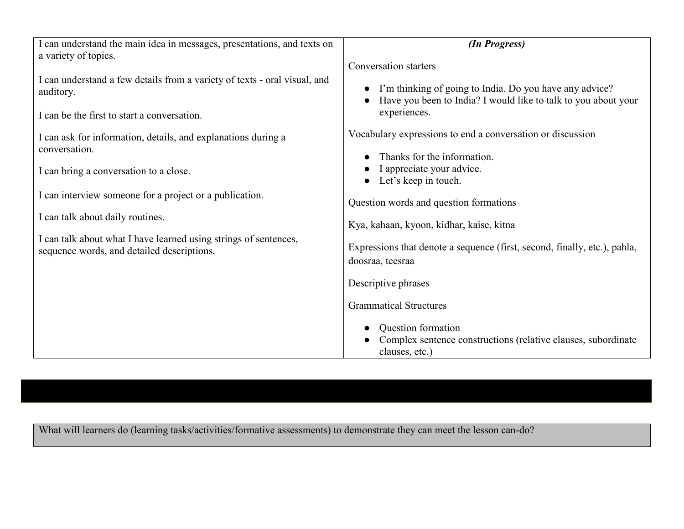| I can understand the main idea in messages, presentations, and texts on                                        | (In Progress)                                                                                                             |  |  |
|----------------------------------------------------------------------------------------------------------------|---------------------------------------------------------------------------------------------------------------------------|--|--|
| a variety of topics.                                                                                           | Conversation starters                                                                                                     |  |  |
| I can understand a few details from a variety of texts - oral visual, and<br>auditory.                         | I'm thinking of going to India. Do you have any advice?<br>Have you been to India? I would like to talk to you about your |  |  |
| I can be the first to start a conversation.                                                                    | experiences.                                                                                                              |  |  |
| I can ask for information, details, and explanations during a                                                  | Vocabulary expressions to end a conversation or discussion                                                                |  |  |
| conversation.                                                                                                  | Thanks for the information.                                                                                               |  |  |
| I can bring a conversation to a close.                                                                         | I appreciate your advice.<br>Let's keep in touch.                                                                         |  |  |
| I can interview someone for a project or a publication.                                                        | Question words and question formations                                                                                    |  |  |
| I can talk about daily routines.                                                                               | Kya, kahaan, kyoon, kidhar, kaise, kitna                                                                                  |  |  |
| I can talk about what I have learned using strings of sentences,<br>sequence words, and detailed descriptions. | Expressions that denote a sequence (first, second, finally, etc.), pahla,<br>doosraa, teesraa                             |  |  |
|                                                                                                                | Descriptive phrases                                                                                                       |  |  |
|                                                                                                                | <b>Grammatical Structures</b>                                                                                             |  |  |
|                                                                                                                | Question formation<br>Complex sentence constructions (relative clauses, subordinate<br>clauses, etc.)                     |  |  |

What will learners do (learning tasks/activities/formative assessments) to demonstrate they can meet the lesson can-do?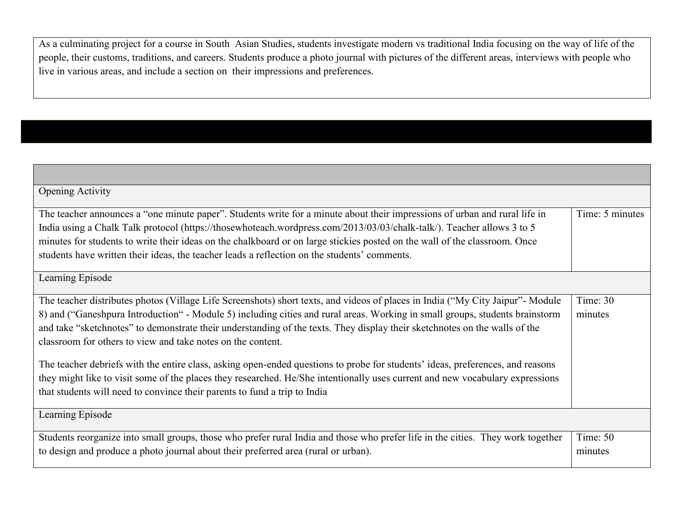As a culminating project for a course in South Asian Studies, students investigate modern vs traditional India focusing on the way of life of the people, their customs, traditions, and careers. Students produce a photo journal with pictures of the different areas, interviews with people who live in various areas, and include a section on their impressions and preferences.

| <b>Opening Activity</b>                                                                                                                                                                                                                                                                                                                                                                                                                                                                                                                                                                                                                                                                                                                                                                                     |                     |  |
|-------------------------------------------------------------------------------------------------------------------------------------------------------------------------------------------------------------------------------------------------------------------------------------------------------------------------------------------------------------------------------------------------------------------------------------------------------------------------------------------------------------------------------------------------------------------------------------------------------------------------------------------------------------------------------------------------------------------------------------------------------------------------------------------------------------|---------------------|--|
| The teacher announces a "one minute paper". Students write for a minute about their impressions of urban and rural life in<br>India using a Chalk Talk protocol (https://thosewhoteach.wordpress.com/2013/03/03/chalk-talk/). Teacher allows 3 to 5<br>minutes for students to write their ideas on the chalkboard or on large stickies posted on the wall of the classroom. Once<br>students have written their ideas, the teacher leads a reflection on the students' comments.                                                                                                                                                                                                                                                                                                                           |                     |  |
| Learning Episode                                                                                                                                                                                                                                                                                                                                                                                                                                                                                                                                                                                                                                                                                                                                                                                            |                     |  |
| The teacher distributes photos (Village Life Screenshots) short texts, and videos of places in India ("My City Jaipur"- Module<br>8) and ("Ganeshpura Introduction" - Module 5) including cities and rural areas. Working in small groups, students brainstorm<br>and take "sketchnotes" to demonstrate their understanding of the texts. They display their sketchnotes on the walls of the<br>classroom for others to view and take notes on the content.<br>The teacher debriefs with the entire class, asking open-ended questions to probe for students' ideas, preferences, and reasons<br>they might like to visit some of the places they researched. He/She intentionally uses current and new vocabulary expressions<br>that students will need to convince their parents to fund a trip to India |                     |  |
| Learning Episode                                                                                                                                                                                                                                                                                                                                                                                                                                                                                                                                                                                                                                                                                                                                                                                            |                     |  |
| Students reorganize into small groups, those who prefer rural India and those who prefer life in the cities. They work together<br>to design and produce a photo journal about their preferred area (rural or urban).                                                                                                                                                                                                                                                                                                                                                                                                                                                                                                                                                                                       | Time: 50<br>minutes |  |